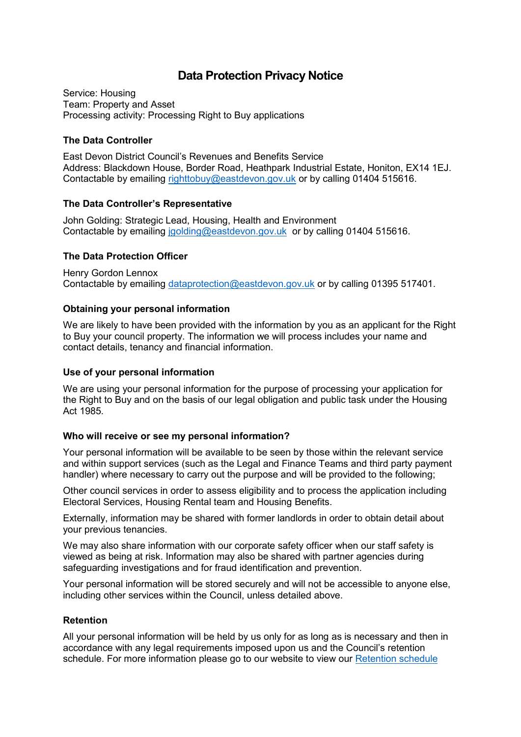# **Data Protection Privacy Notice**

Service: Housing Team: Property and Asset Processing activity: Processing Right to Buy applications

## **The Data Controller**

East Devon District Council's Revenues and Benefits Service Address: Blackdown House, Border Road, Heathpark Industrial Estate, Honiton, EX14 1EJ. Contactable by emailing [righttobuy@eastdevon.gov.uk](mailto:righttobuy@eastdevon.gov.uk) or by calling 01404 515616.

### **The Data Controller's Representative**

John Golding: Strategic Lead, Housing, Health and Environment Contactable by emailing [jgolding@eastdevon.gov.uk](mailto:jgolding@eastdevon.gov.uk) or by calling 01404 515616.

# **The Data Protection Officer**

Henry Gordon Lennox Contactable by emailing [dataprotection@eastdevon.gov.uk](mailto:dataprotection@eastdevon.gov.uk) or by calling 01395 517401.

# **Obtaining your personal information**

We are likely to have been provided with the information by you as an applicant for the Right to Buy your council property. The information we will process includes your name and contact details, tenancy and financial information.

### **Use of your personal information**

We are using your personal information for the purpose of processing your application for the Right to Buy and on the basis of our legal obligation and public task under the Housing Act 1985.

### **Who will receive or see my personal information?**

Your personal information will be available to be seen by those within the relevant service and within support services (such as the Legal and Finance Teams and third party payment handler) where necessary to carry out the purpose and will be provided to the following;

Other council services in order to assess eligibility and to process the application including Electoral Services, Housing Rental team and Housing Benefits.

Externally, information may be shared with former landlords in order to obtain detail about your previous tenancies.

We may also share information with our corporate safety officer when our staff safety is viewed as being at risk. Information may also be shared with partner agencies during safeguarding investigations and for fraud identification and prevention.

Your personal information will be stored securely and will not be accessible to anyone else, including other services within the Council, unless detailed above.

### **Retention**

All your personal information will be held by us only for as long as is necessary and then in accordance with any legal requirements imposed upon us and the Council's retention schedule. For more information please go to our website to view our [Retention schedule](http://eastdevon.gov.uk/access-to-information/data-protection/document-retention-schedules/)